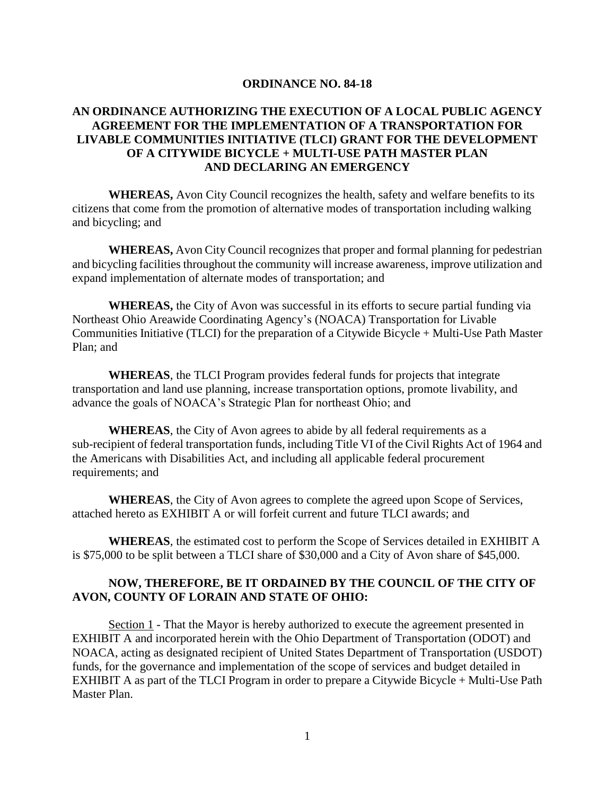## **ORDINANCE NO. 84-18**

## **AN ORDINANCE AUTHORIZING THE EXECUTION OF A LOCAL PUBLIC AGENCY AGREEMENT FOR THE IMPLEMENTATION OF A TRANSPORTATION FOR LIVABLE COMMUNITIES INITIATIVE (TLCI) GRANT FOR THE DEVELOPMENT OF A CITYWIDE BICYCLE + MULTI-USE PATH MASTER PLAN AND DECLARING AN EMERGENCY**

**WHEREAS,** Avon City Council recognizes the health, safety and welfare benefits to its citizens that come from the promotion of alternative modes of transportation including walking and bicycling; and

**WHEREAS,** Avon City Council recognizes that proper and formal planning for pedestrian and bicycling facilities throughout the community will increase awareness, improve utilization and expand implementation of alternate modes of transportation; and

**WHEREAS,** the City of Avon was successful in its efforts to secure partial funding via Northeast Ohio Areawide Coordinating Agency's (NOACA) Transportation for Livable Communities Initiative (TLCI) for the preparation of a Citywide Bicycle + Multi-Use Path Master Plan; and

**WHEREAS**, the TLCI Program provides federal funds for projects that integrate transportation and land use planning, increase transportation options, promote livability, and advance the goals of NOACA's Strategic Plan for northeast Ohio; and

**WHEREAS**, the City of Avon agrees to abide by all federal requirements as a sub-recipient of federal transportation funds, including Title VI of the Civil Rights Act of 1964 and the Americans with Disabilities Act, and including all applicable federal procurement requirements; and

**WHEREAS**, the City of Avon agrees to complete the agreed upon Scope of Services, attached hereto as EXHIBIT A or will forfeit current and future TLCI awards; and

**WHEREAS**, the estimated cost to perform the Scope of Services detailed in EXHIBIT A is \$75,000 to be split between a TLCI share of \$30,000 and a City of Avon share of \$45,000.

## **NOW, THEREFORE, BE IT ORDAINED BY THE COUNCIL OF THE CITY OF AVON, COUNTY OF LORAIN AND STATE OF OHIO:**

Section 1 - That the Mayor is hereby authorized to execute the agreement presented in EXHIBIT A and incorporated herein with the Ohio Department of Transportation (ODOT) and NOACA, acting as designated recipient of United States Department of Transportation (USDOT) funds, for the governance and implementation of the scope of services and budget detailed in EXHIBIT A as part of the TLCI Program in order to prepare a Citywide Bicycle + Multi-Use Path Master Plan.